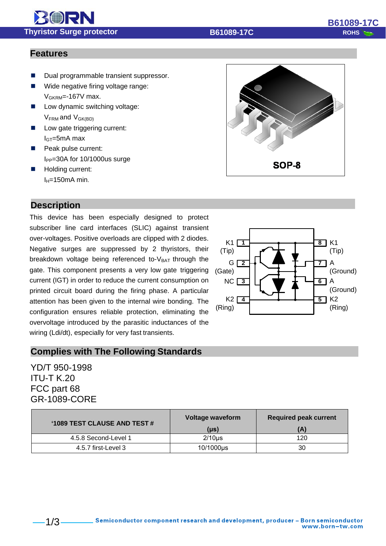#### **Thyristor Surge protector B61089-17C ROHS**

#### **Features**

RORN

- Dual programmable transient suppressor.
- Wide negative firing voltage range: V<sub>GKRM</sub>=-167V max.
- **Low dynamic switching voltage:** V<sub>FRM</sub> and V<sub>GK(BD)</sub>
- **Low gate triggering current:**  $I<sub>GT</sub>=5mA$  max
- Peak pulse current: IPP=30A for 10/1000us surge
- Holding current:  $I_H=150$ mA min.

#### **Description**

This device has been especially designed to protect subscriber line card interfaces (SLIC) against transient over-voltages. Positive overloads are clipped with 2 diodes. Negative surges are suppressed by 2 thyristors, their breakdown voltage being referenced to- $V<sub>BAT</sub>$  through the gate. This component presents a very low gate triggering current (IGT) in order to reduce the current consumption on printed circuit board during the firing phase. A particular attention has been given to the internal wire bonding. The configuration ensures reliable protection, eliminating the overvoltage introduced by the parasitic inductances of the wiring (Ldi/dt), especially for very fast transients.

#### **Complies with The Following Standards**

YD/T 950-1998 ITU-T K.20 FCC part 68 GR-1089-CORE

| '1089 TEST CLAUSE AND TEST# | <b>Voltage waveform</b> | <b>Required peak current</b> |
|-----------------------------|-------------------------|------------------------------|
|                             | $($ µs $)$              | A                            |
| 4.5.8 Second-Level 1        | $2/10$ us               | 120                          |
| 4.5.7 first-Level 3         | 10/1000µs               | 30                           |





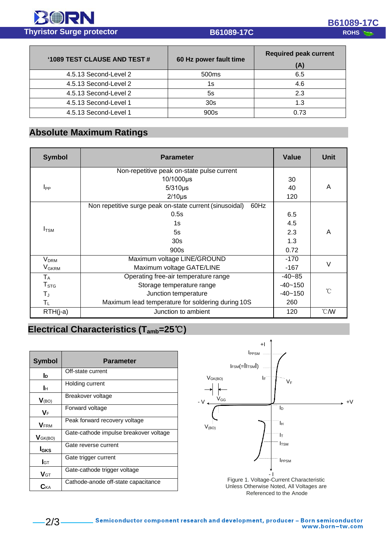| '1089 TEST CLAUSE AND TEST# | 60 Hz power fault time | <b>Required peak current</b> |
|-----------------------------|------------------------|------------------------------|
|                             |                        | (A)                          |
| 4.5.13 Second-Level 2       | 500 <sub>ms</sub>      | 6.5                          |
| 4.5.13 Second-Level 2       | 1s                     | 4.6                          |
| 4.5.13 Second-Level 2       | 5s                     | 2.3                          |
| 4.5.13 Second-Level 1       | 30 <sub>s</sub>        | 1.3                          |
| 4.5.13 Second-Level 1       | 900s                   | 0.73                         |

### **Absolute Maximum Ratings**

| <b>Symbol</b>                | <b>Parameter</b>                                                | Value       | <b>Unit</b>      |
|------------------------------|-----------------------------------------------------------------|-------------|------------------|
|                              | Non-repetitive peak on-state pulse current                      |             |                  |
|                              | 10/1000µs                                                       | 30          |                  |
| <b>I</b> <sub>PP</sub>       | $5/310\mu s$                                                    | 40          | A                |
|                              | $2/10\mu s$                                                     | 120         |                  |
|                              | 60Hz<br>Non repetitive surge peak on-state current (sinusoidal) |             |                  |
|                              | 0.5s                                                            | 6.5         |                  |
|                              | 1s                                                              | 4.5         |                  |
| $I_{\text{TSM}}$             | 5s                                                              | 2.3         | A                |
|                              | 30 <sub>s</sub>                                                 | 1.3         |                  |
|                              | 900s                                                            | 0.72        |                  |
| $\mathsf{V}_\mathsf{DRM}$    | Maximum voltage LINE/GROUND                                     | $-170$      |                  |
| $\mathsf{V}_{\mathsf{GKRM}}$ | Maximum voltage GATE/LINE                                       | $-167$      | V                |
| $T_A$                        | Operating free-air temperature range                            | $-40 - 85$  |                  |
| $\mathsf{T}_{\texttt{STG}}$  | Storage temperature range                                       |             |                  |
| $T_{\rm J}$                  | Junction temperature                                            | $-40 - 150$ | 'n               |
| $\mathsf{T}_{\mathsf{L}}$    | Maximum lead temperature for soldering during 10S               | 260         |                  |
| $RTH(j-a)$                   | Junction to ambient                                             | 120         | $\mathcal{C}$ /W |

# **Electrical Characteristics (Tamb=25**℃**)**

| <b>Symbol</b>     | <b>Parameter</b>                       |
|-------------------|----------------------------------------|
| Iо                | Off-state current                      |
| Iн                | Holding current                        |
| V <sub>(BO)</sub> | Breakover voltage                      |
| VF                | Forward voltage                        |
| <b>VFRM</b>       | Peak forward recovery voltage          |
| $V_{GK(BO)}$      | Gate-cathode impulse breakover voltage |
| I <sub>GKS</sub>  | Gate reverse current                   |
| $I$ GT            | Gate trigger current                   |
| $V$ gt            | Gate-cathode trigger voltage           |
| $C_{\text{KA}}$   | Cathode-anode off-state capacitance    |



Referenced to the Anode